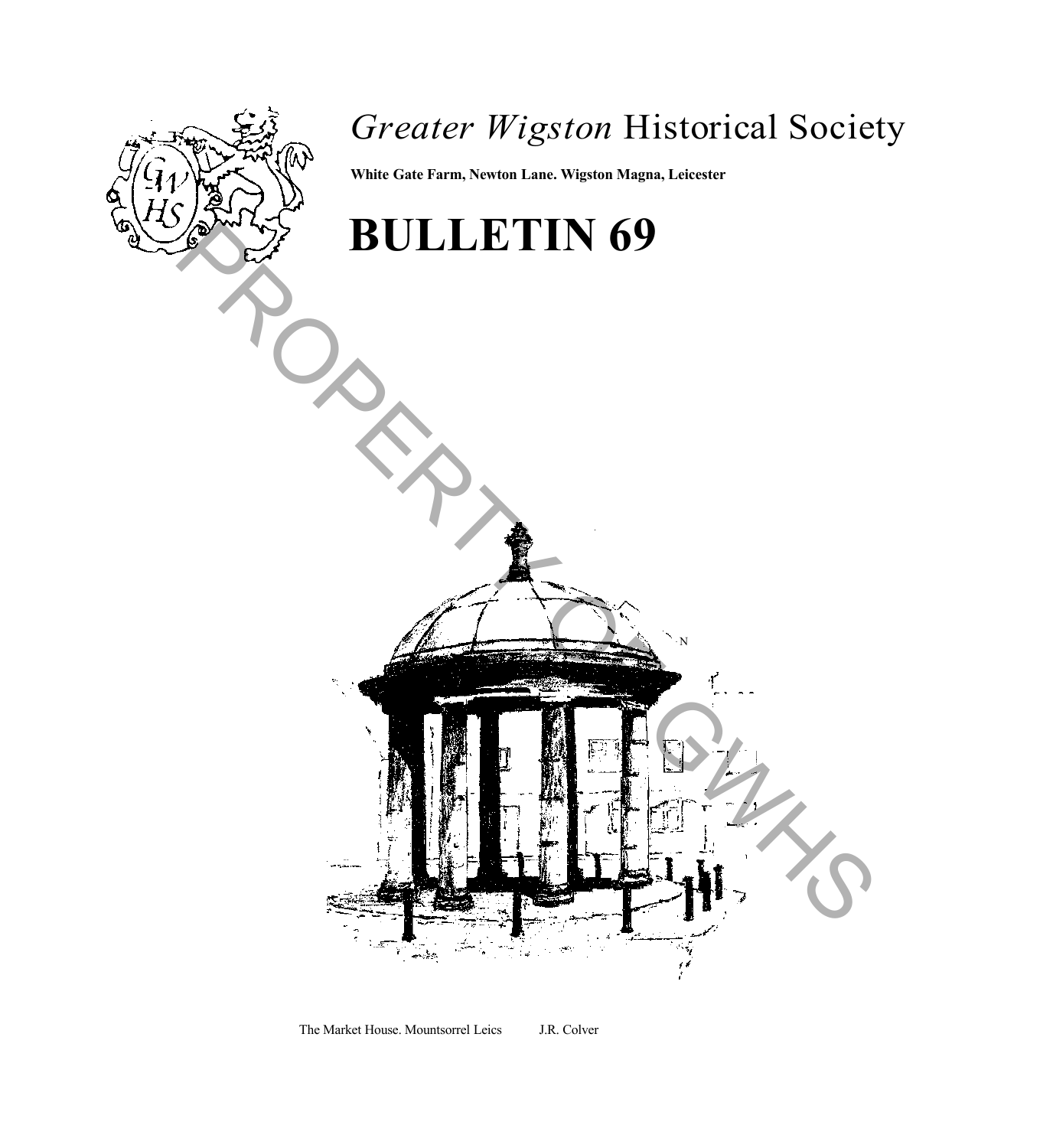

### *Greater Wigston* Historical Society

N

**White Gate Farm, Newton Lane. Wigston Magna, Leicester**

# **BULLETIN 69** BULLETIN 69

The Market House. Mountsorrel Leics J.R. Colver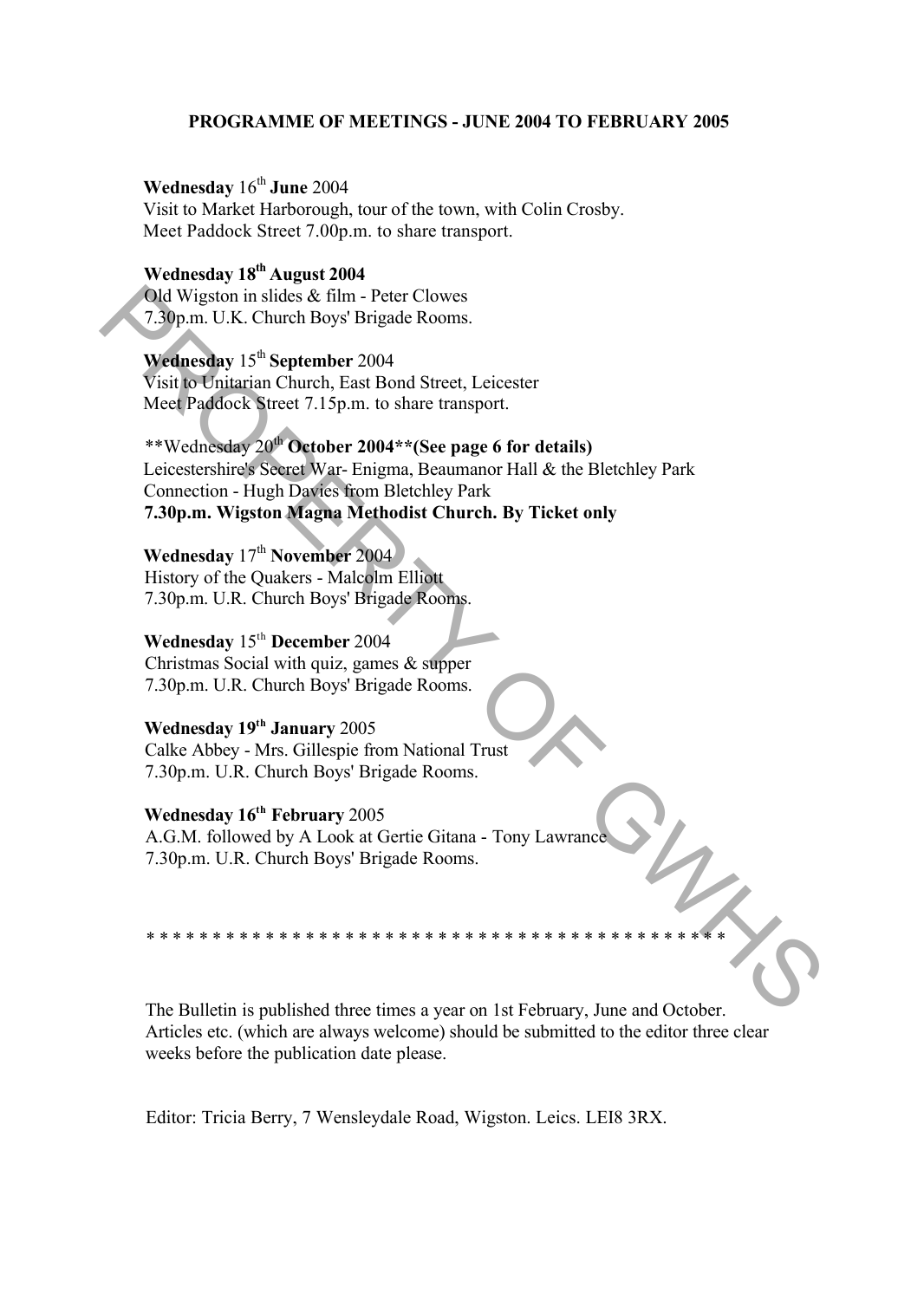#### **PROGRAMME OF MEETINGS - JUNE 2004 TO FEBRUARY 2005**

#### **Wednesday**  $16^{th}$  June 2004

Visit to Market Harborough, tour of the town, with Colin Crosby. Meet Paddock Street 7.00p.m. to share transport.

#### **Wednesday 18th August 2004**

Old Wigston in slides & film - Peter Clowes 7.30p.m. U.K. Church Boys' Brigade Rooms.

#### **Wednesday** 15th **September** 2004

Visit to Unitarian Church, East Bond Street, Leicester Meet Paddock Street 7.15p.m. to share transport.

## \*\*Wednesday 20th **October 2004\*\*(See page 6 for details)** Leicestershire's Secret War- Enigma, Beaumanor Hall & the Bletchley Park Connection - Hugh Davies from Bletchley Park **7.30p.m. Wigston Magna Methodist Church. By Ticket only** Old Wigston in slides & film - Peter Clowes<br>
7.39p.m. U.K. Church Boys' Brigade Rooms.<br>
Wednesday 15<sup>cs</sup> September 2004<br>
Sixti to Unitarian Church, East Bond Street, Leicester<br>
Mecil Paddock Street 7.15p.m. to share trans

#### **Wednesday** 17th **November** 2004

History of the Quakers - Malcolm Elliott 7.30p.m. U.R. Church Boys' Brigade Rooms.

#### **Wednesday** 15th **December** 2004

Christmas Social with quiz, games & supper 7.30p.m. U.R. Church Boys' Brigade Rooms.

#### **Wednesday 19th January** 2005

Calke Abbey - Mrs. Gillespie from National Trust 7.30p.m. U.R. Church Boys' Brigade Rooms.

#### **Wednesday 16th February** 2005

A.G.M. followed by A Look at Gertie Gitana - Tony Lawrance 7.30p.m. U.R. Church Boys' Brigade Rooms.

The Bulletin is published three times a year on 1st February, June and October. Articles etc. (which are always welcome) should be submitted to the editor three clear weeks before the publication date please.

\* \* \* \* \* \* \* \* \* \* \* \* \* \* \* \* \* \* \* \* \* \* \* \* \* \* \* \* \* \* \* \* \* \* \* \* \* \* \* \* \* \* \* \*

Editor: Tricia Berry, 7 Wensleydale Road, Wigston. Leics. LEI8 3RX.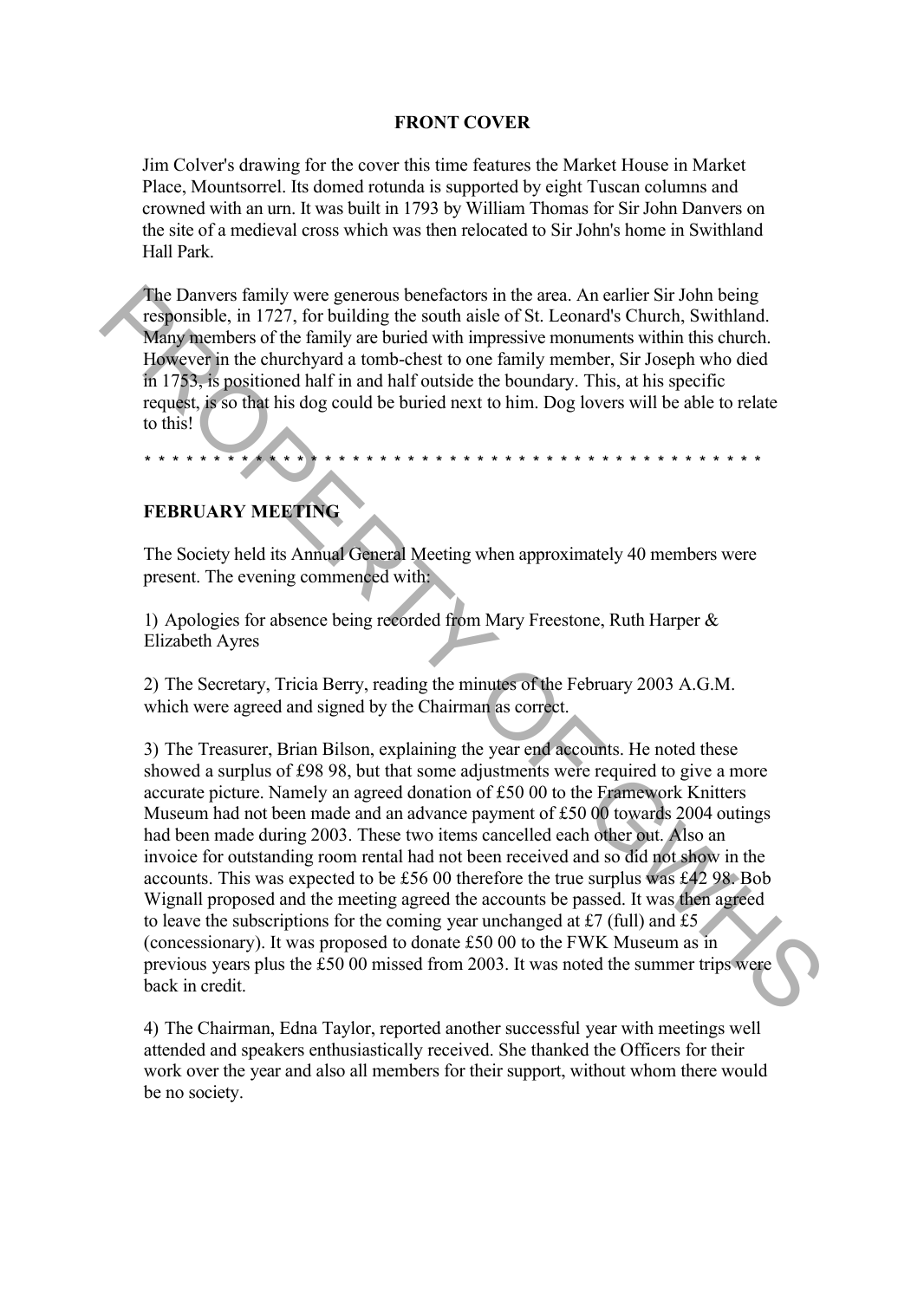#### **FRONT COVER**

Jim Colver's drawing for the cover this time features the Market House in Market Place, Mountsorrel. Its domed rotunda is supported by eight Tuscan columns and crowned with an urn. It was built in 1793 by William Thomas for Sir John Danvers on the site of a medieval cross which was then relocated to Sir John's home in Swithland Hall Park.

The Danvers family were generous benefactors in the area. An earlier Sir John being responsible, in 1727, for building the south aisle of St. Leonard's Church, Swithland. Many members of the family are buried with impressive monuments within this church. However in the churchyard a tomb-chest to one family member, Sir Joseph who died in 1753, is positioned half in and half outside the boundary. This, at his specific request, is so that his dog could be buried next to him. Dog lovers will be able to relate to this!

#### **FEBRUARY MEETING**

The Society held its Annual General Meeting when approximately 40 members were present. The evening commenced with:

\* \* \* \* \* \* \* \* \* \* \* \* \* \* \* \* \* \* \* \* \* \* \* \* \* \* \* \* \* \* \* \* \* \* \* \* \* \* \* \* \* \* \* \* \*

1) Apologies for absence being recorded from Mary Freestone, Ruth Harper & Elizabeth Ayres

2) The Secretary, Tricia Berry, reading the minutes of the February 2003 A.G.M. which were agreed and signed by the Chairman as correct.

3) The Treasurer, Brian Bilson, explaining the year end accounts. He noted these showed a surplus of £98 98, but that some adjustments were required to give a more accurate picture. Namely an agreed donation of £50 00 to the Framework Knitters Museum had not been made and an advance payment of £50 00 towards 2004 outings had been made during 2003. These two items cancelled each other out. Also an invoice for outstanding room rental had not been received and so did not show in the accounts. This was expected to be £56 00 therefore the true surplus was £42 98. Bob Wignall proposed and the meeting agreed the accounts be passed. It was then agreed to leave the subscriptions for the coming year unchanged at £7 (full) and £5 (concessionary). It was proposed to donate Ä50 00 to the FWK Museum as in previous years plus the Ä50 00 missed from 2003. It was noted the summer trips were back in credit. The Danvers finally were generous benefactors in the ease. An earlier Sir John being<br>Tresponsible, in 1727, for building the south aisie of St. Leonard's Church, Swithland<br>Many members of the family are buried with impres

4) The Chairman, Edna Taylor, reported another successful year with meetings well attended and speakers enthusiastically received. She thanked the Officers for their work over the year and also all members for their support, without whom there would be no society.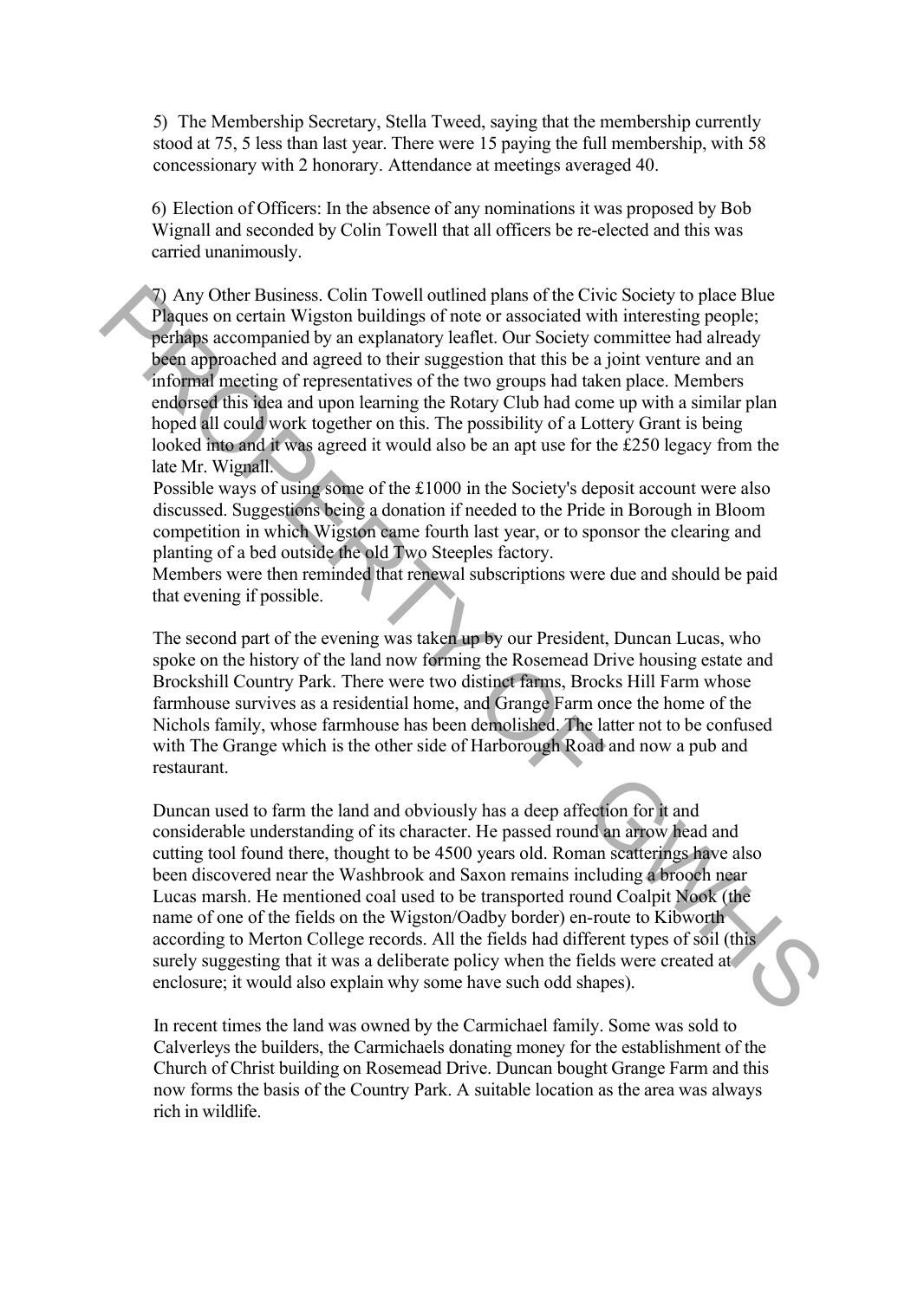5) The Membership Secretary, Stella Tweed, saying that the membership currently stood at 75, 5 less than last year. There were 15 paying the full membership, with 58 concessionary with 2 honorary. Attendance at meetings averaged 40.

6) Election of Officers: In the absence of any nominations it was proposed by Bob Wignall and seconded by Colin Towell that all officers be re-elected and this was carried unanimously.

7) Any Other Business. Colin Towell outlined plans of the Civic Society to place Blue Plaques on certain Wigston buildings of note or associated with interesting people; perhaps accompanied by an explanatory leaflet. Our Society committee had already been approached and agreed to their suggestion that this be a joint venture and an informal meeting of representatives of the two groups had taken place. Members endorsed this idea and upon learning the Rotary Club had come up with a similar plan hoped all could work together on this. The possibility of a Lottery Grant is being looked into and it was agreed it would also be an apt use for the £250 legacy from the late Mr. Wignall. 7) Any Other Business. Coint Towell outlined plans of the Civic Boitev to place Blue<br>means on extrain Wigston buildings of note or associated with interesting people;<br>perhaps accompanied by an explanatory leallet. Our Soc

Possible ways of using some of the Ä1000 in the Society's deposit account were also discussed. Suggestions being a donation if needed to the Pride in Borough in Bloom competition in which Wigston came fourth last year, or to sponsor the clearing and planting of a bed outside the old Two Steeples factory.

Members were then reminded that renewal subscriptions were due and should be paid that evening if possible.

The second part of the evening was taken up by our President, Duncan Lucas, who spoke on the history of the land now forming the Rosemead Drive housing estate and Brockshill Country Park. There were two distinct farms, Brocks Hill Farm whose farmhouse survives as a residential home, and Grange Farm once the home of the Nichols family, whose farmhouse has been demolished. The latter not to be confused with The Grange which is the other side of Harborough Road and now a pub and restaurant.

Duncan used to farm the land and obviously has a deep affection for it and considerable understanding of its character. He passed round an arrow head and cutting tool found there, thought to be 4500 years old. Roman scatterings have also been discovered near the Washbrook and Saxon remains including a brooch near Lucas marsh. He mentioned coal used to be transported round Coalpit Nook (the name of one of the fields on the Wigston/Oadby border) en-route to Kibworth according to Merton College records. All the fields had different types of soil (this surely suggesting that it was a deliberate policy when the fields were created at enclosure; it would also explain why some have such odd shapes).

In recent times the land was owned by the Carmichael family. Some was sold to Calverleys the builders, the Carmichaels donating money for the establishment of the Church of Christ building on Rosemead Drive. Duncan bought Grange Farm and this now forms the basis of the Country Park. A suitable location as the area was always rich in wildlife.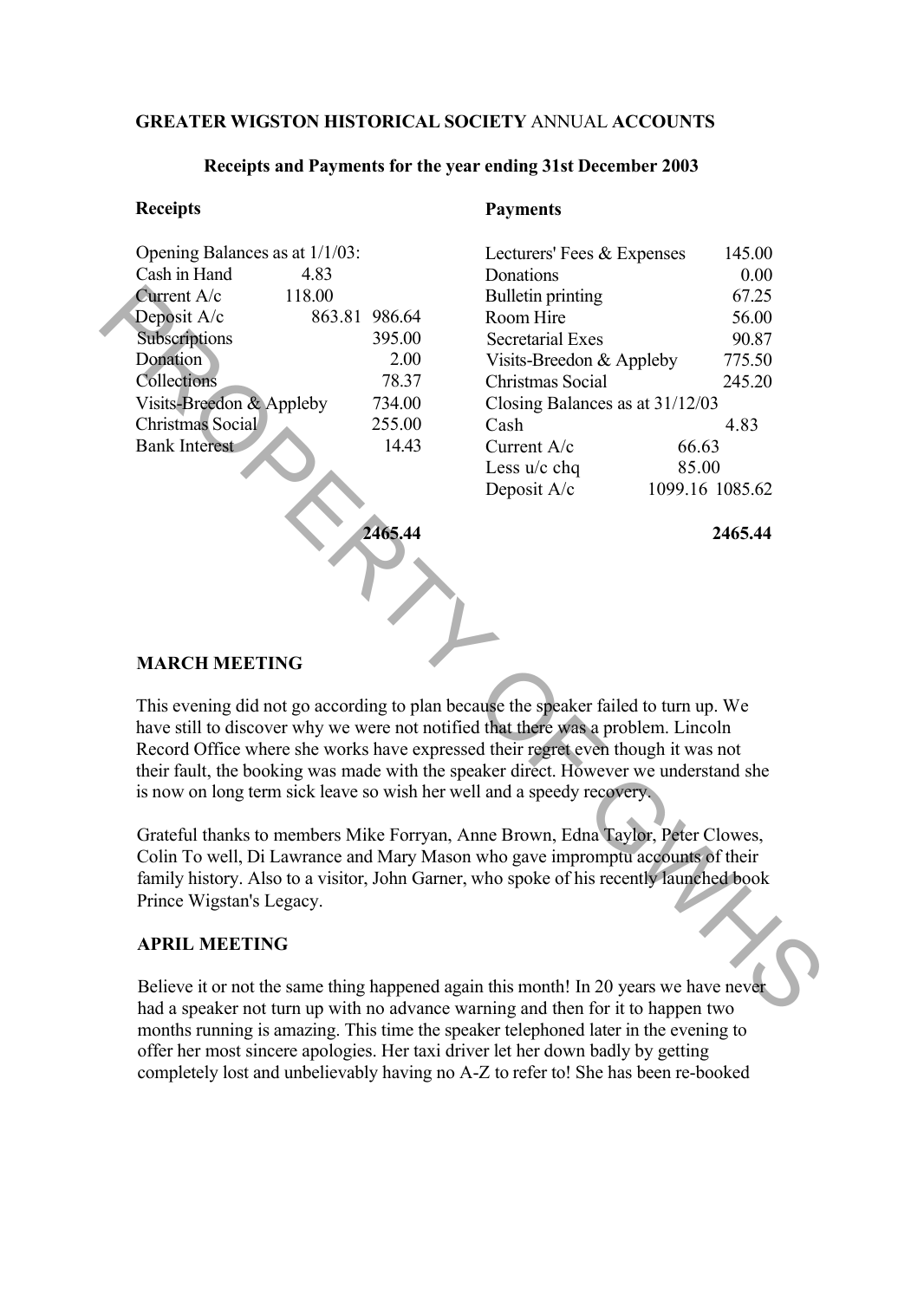#### **GREATER WIGSTON HISTORICAL SOCIETY** ANNUAL **ACCOUNTS**

#### **Receipts and Payments for the year ending 31st December 2003**

#### **Receipts**

| Opening Balances as at 1/1/03: |        |               |
|--------------------------------|--------|---------------|
| Cash in Hand                   | 4.83   |               |
| Current A/c                    | 118.00 |               |
| Deposit A/c                    |        | 863.81 986.64 |
| Subscriptions                  |        | 395.00        |
| <b>Donation</b>                |        | 2.00          |
| Collections                    |        | 78.37         |
| Visits-Breedon & Appleby       |        | 734.00        |
| <b>Christmas Social</b>        |        | 255.00        |
| <b>Bank Interest</b>           |        | 14.43         |
|                                |        |               |

#### **Payments**

| Lecturers' Fees & Expenses        |       | 145.00          |  |
|-----------------------------------|-------|-----------------|--|
| Donations                         |       | 0.00            |  |
| <b>Bulletin printing</b>          |       | 67.25           |  |
| Room Hire                         |       | 56.00           |  |
| <b>Secretarial Exes</b>           |       | 90.87           |  |
| Visits-Breedon & Appleby          |       | 775.50          |  |
| Christmas Social                  |       | 245.20          |  |
| Closing Balances as at $31/12/03$ |       |                 |  |
| Cash                              |       | 4.83            |  |
| Current $A/c$                     | 66.63 |                 |  |
| Less $u/c$ chq                    | 85.00 |                 |  |
| Deposit A/c                       |       | 1099.16 1085.62 |  |

**2465.44**

**2465.44**

#### **MARCH MEETING**

This evening did not go according to plan because the speaker failed to turn up. We have still to discover why we were not notified that there was a problem. Lincoln Record Office where she works have expressed their regret even though it was not their fault, the booking was made with the speaker direct. However we understand she is now on long term sick leave so wish her well and a speedy recovery. Curent A/c 118.00<br>
2 Appleion (16.2 and 20.23 and 20.23 and 20.23 and 20.23 and 20.23 and 20.6 and 20.6 and 20.6 and 20.6 and 20.6 and 20.6 and 20.6 and 20.6 and 20.6 and 20.6 and 20.6 and 20.6 and 20.6 and 20.6 and 20.6

Grateful thanks to members Mike Forryan, Anne Brown, Edna Taylor, Peter Clowes, Colin To well, Di Lawrance and Mary Mason who gave impromptu accounts of their family history. Also to a visitor, John Garner, who spoke of his recently launched book Prince Wigstan's Legacy.

#### **APRIL MEETING**

Believe it or not the same thing happened again this month! In 20 years we have never had a speaker not turn up with no advance warning and then for it to happen two months running is amazing. This time the speaker telephoned later in the evening to offer her most sincere apologies. Her taxi driver let her down badly by getting completely lost and unbelievably having no A-Z to refer to! She has been re-booked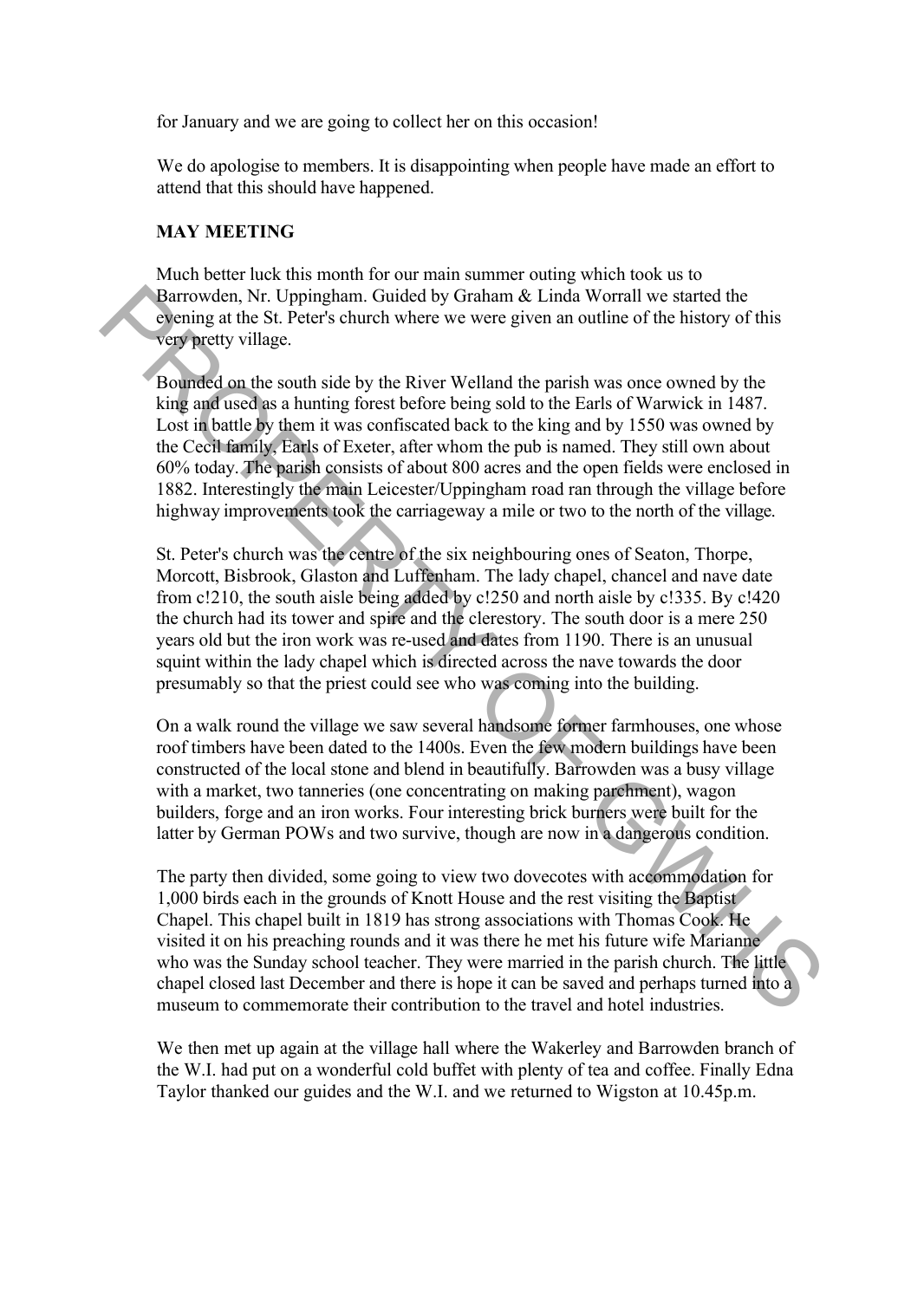for January and we are going to collect her on this occasion!

We do apologise to members. It is disappointing when people have made an effort to attend that this should have happened.

#### **MAY MEETING**

Much better luck this month for our main summer outing which took us to Barrowden, Nr. Uppingham. Guided by Graham & Linda Worrall we started the evening at the St. Peter's church where we were given an outline of the history of this very pretty village.

Bounded on the south side by the River Welland the parish was once owned by the king and used as a hunting forest before being sold to the Earls of Warwick in 1487. Lost in battle by them it was confiscated back to the king and by 1550 was owned by the Cecil family, Earls of Exeter, after whom the pub is named. They still own about 60% today. The parish consists of about 800 acres and the open fields were enclosed in 1882. Interestingly the main Leicester/Uppingham road ran through the village before highway improvements took the carriageway a mile or two to the north of the village. Paramovien, Nr. Uppingham. Guided by Graham & Linda Worrall we started the<br>
evening at the St. Peter's church where we were given an outline of the history of this<br>
copynectly village.<br>
Boarded on the south side by the Riv

St. Peter's church was the centre of the six neighbouring ones of Seaton, Thorpe, Morcott, Bisbrook, Glaston and Luffenham. The lady chapel, chancel and nave date from c!210, the south aisle being added by c!250 and north aisle by c!335. By c!420 the church had its tower and spire and the clerestory. The south door is a mere 250 years old but the iron work was re-used and dates from 1190. There is an unusual squint within the lady chapel which is directed across the nave towards the door presumably so that the priest could see who was coming into the building.

On a walk round the village we saw several handsome former farmhouses, one whose roof timbers have been dated to the 1400s. Even the few modern buildings have been constructed of the local stone and blend in beautifully. Barrowden was a busy village with a market, two tanneries (one concentrating on making parchment), wagon builders, forge and an iron works. Four interesting brick burners were built for the latter by German POWs and two survive, though are now in a dangerous condition.

The party then divided, some going to view two dovecotes with accommodation for 1,000 birds each in the grounds of Knott House and the rest visiting the Baptist Chapel. This chapel built in 1819 has strong associations with Thomas Cook. He visited it on his preaching rounds and it was there he met his future wife Marianne who was the Sunday school teacher. They were married in the parish church. The little chapel closed last December and there is hope it can be saved and perhaps turned into a museum to commemorate their contribution to the travel and hotel industries.

We then met up again at the village hall where the Wakerley and Barrowden branch of the W.I. had put on a wonderful cold buffet with plenty of tea and coffee. Finally Edna Taylor thanked our guides and the W.I. and we returned to Wigston at 10.45p.m.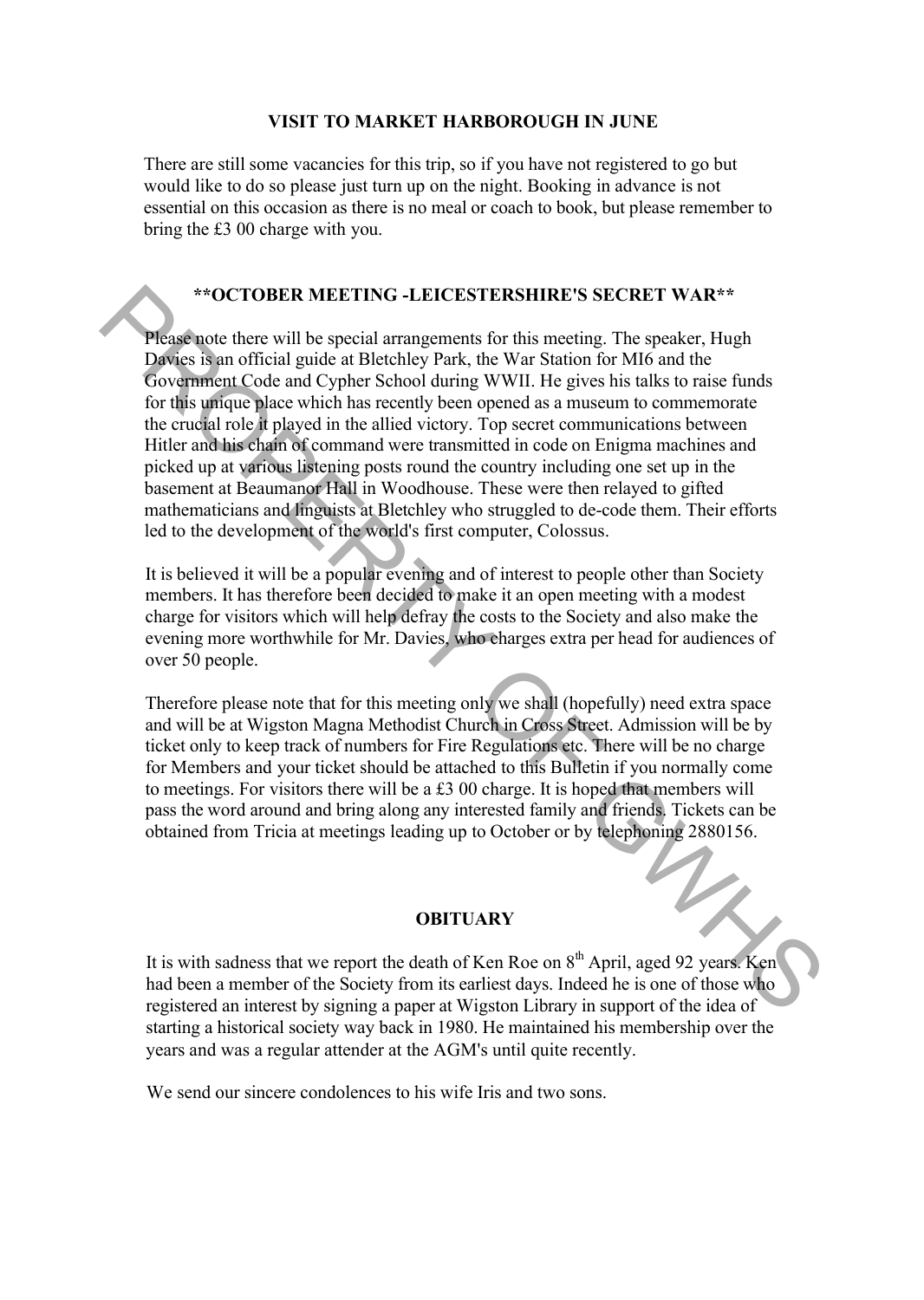#### **VISIT TO MARKET HARBOROUGH IN JUNE**

There are still some vacancies for this trip, so if you have not registered to go but would like to do so please just turn up on the night. Booking in advance is not essential on this occasion as there is no meal or coach to book, but please remember to bring the Ä3 00 charge with you.

#### **\*\*OCTOBER MEETING -LEICESTERSHIRE'S SECRET WAR\*\***

Please note there will be special arrangements for this meeting. The speaker, Hugh Davies is an official guide at Bletchley Park, the War Station for MI6 and the Government Code and Cypher School during WWII. He gives his talks to raise funds for this unique place which has recently been opened as a museum to commemorate the crucial role it played in the allied victory. Top secret communications between Hitler and his chain of command were transmitted in code on Enigma machines and picked up at various listening posts round the country including one set up in the basement at Beaumanor Hall in Woodhouse. These were then relayed to gifted mathematicians and linguists at Bletchley who struggled to de-code them. Their efforts led to the development of the world's first computer, Colossus. \*\*OCTOBER MEETING -LEICESTERSHIRE'S SECRET WAR\*\*<br>
Please note there will be special arrangements for this meeting. The speaker, Hugh<br>
Dowernment Crole and Cypher School during WWII. He gives his salts to raise funds<br>
for

It is believed it will be a popular evening and of interest to people other than Society members. It has therefore been decided to make it an open meeting with a modest charge for visitors which will help defray the costs to the Society and also make the evening more worthwhile for Mr. Davies, who charges extra per head for audiences of over 50 people.

Therefore please note that for this meeting only we shall (hopefully) need extra space and will be at Wigston Magna Methodist Church in Cross Street. Admission will be by ticket only to keep track of numbers for Fire Regulations etc. There will be no charge for Members and your ticket should be attached to this Bulletin if you normally come to meetings. For visitors there will be a £3 00 charge. It is hoped that members will pass the word around and bring along any interested family and friends. Tickets can be obtained from Tricia at meetings leading up to October or by telephoning 2880156.

#### **OBITUARY**

It is with sadness that we report the death of Ken Roe on  $8<sup>th</sup>$  April, aged 92 years. Ken had been a member of the Society from its earliest days. Indeed he is one of those who registered an interest by signing a paper at Wigston Library in support of the idea of starting a historical society way back in 1980. He maintained his membership over the years and was a regular attender at the AGM's until quite recently.

We send our sincere condolences to his wife Iris and two sons.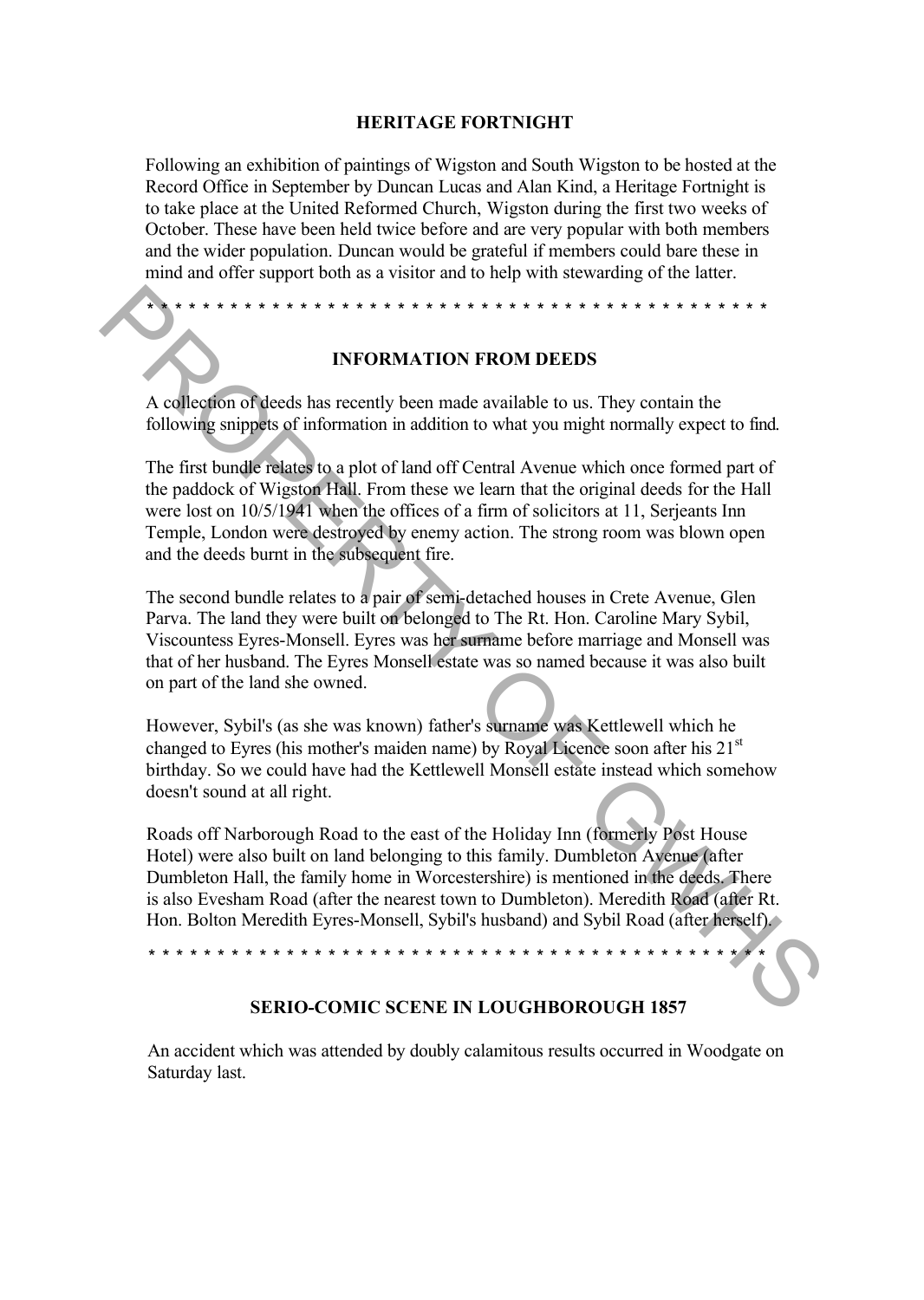#### **HERITAGE FORTNIGHT**

Following an exhibition of paintings of Wigston and South Wigston to be hosted at the Record Office in September by Duncan Lucas and Alan Kind, a Heritage Fortnight is to take place at the United Reformed Church, Wigston during the first two weeks of October. These have been held twice before and are very popular with both members and the wider population. Duncan would be grateful if members could bare these in mind and offer support both as a visitor and to help with stewarding of the latter.

\* \* \* \* \* \* \* \* \* \* \* \* \* \* \* \* \* \* \* \* \* \* \* \* \* \* \* \* \* \* \* \* \* \* \* \* \* \* \* \* \* \* \* \* \*

#### **INFORMATION FROM DEEDS**

A collection of deeds has recently been made available to us. They contain the following snippets of information in addition to what you might normally expect to find.

The first bundle relates to a plot of land off Central Avenue which once formed part of the paddock of Wigston Hall. From these we learn that the original deeds for the Hall were lost on 10/5/1941 when the offices of a firm of solicitors at 11, Serjeants Inn Temple, London were destroyed by enemy action. The strong room was blown open and the deeds burnt in the subsequent fire. **EXECUTE THE SET INTERENT IN A SET CONDUCT THE SET CALCULATED AND THE SET ON CONDUCT SET CHARGED AND THE SET ON CONDUCT SET IN A SET ON CONDUCT SET ON A SET ON CONDUCT THE SET ON CONDUCT THE SET ON CONDUCT THE SET ON COND** 

The second bundle relates to a pair of semi-detached houses in Crete Avenue, Glen Parva. The land they were built on belonged to The Rt. Hon. Caroline Mary Sybil, Viscountess Eyres-Monsell. Eyres was her surname before marriage and Monsell was that of her husband. The Eyres Monsell estate was so named because it was also built on part of the land she owned.

However, Sybil's (as she was known) father's surname was Kettlewell which he changed to Eyres (his mother's maiden name) by Royal Licence soon after his  $21<sup>st</sup>$ birthday. So we could have had the Kettlewell Monsell estate instead which somehow doesn't sound at all right.

Roads off Narborough Road to the east of the Holiday Inn (formerly Post House Hotel) were also built on land belonging to this family. Dumbleton Avenue (after Dumbleton Hall, the family home in Worcestershire) is mentioned in the deeds. There is also Evesham Road (after the nearest town to Dumbleton). Meredith Road (after Rt. Hon. Bolton Meredith Eyres-Monsell, Sybil's husband) and Sybil Road (after herself).

\* \* \* \* \* \* \* \* \* \* \* \* \* \* \* \* \* \* \* \* \* \* \* \* \* \* \* \* \* \* \* \* \* \* \* \* \* \* \* \* \* \* \* \* \*

#### **SERIO-COMIC SCENE IN LOUGHBOROUGH 1857**

An accident which was attended by doubly calamitous results occurred in Woodgate on Saturday last.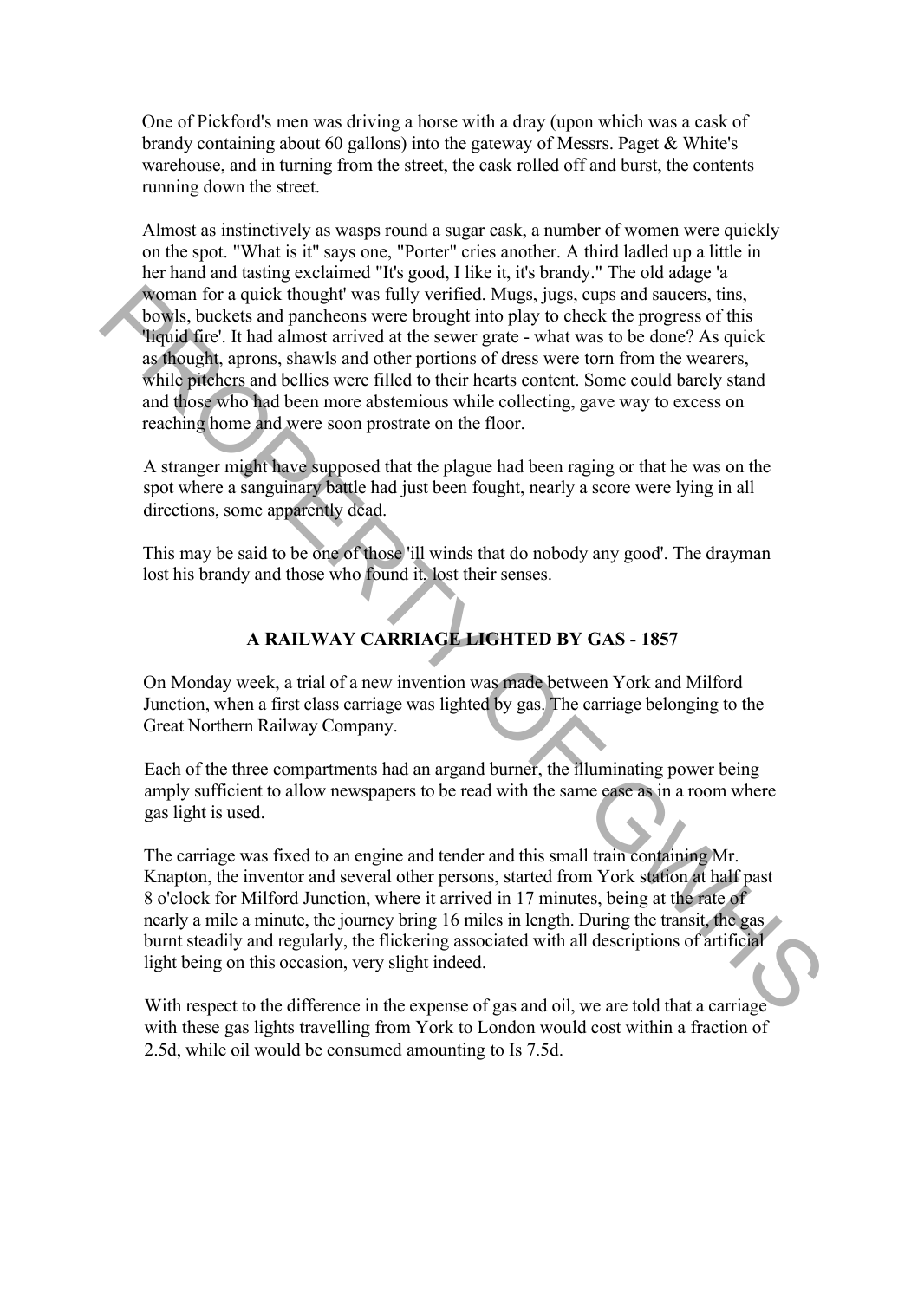One of Pickford's men was driving a horse with a dray (upon which was a cask of brandy containing about 60 gallons) into the gateway of Messrs. Paget & White's warehouse, and in turning from the street, the cask rolled off and burst, the contents running down the street.

Almost as instinctively as wasps round a sugar cask, a number of women were quickly on the spot. "What is it" says one, "Porter" cries another. A third ladled up a little in her hand and tasting exclaimed "It's good, I like it, it's brandy." The old adage 'a woman for a quick thought' was fully verified. Mugs, jugs, cups and saucers, tins, bowls, buckets and pancheons were brought into play to check the progress of this 'liquid fire'. It had almost arrived at the sewer grate - what was to be done? As quick as thought, aprons, shawls and other portions of dress were torn from the wearers, while pitchers and bellies were filled to their hearts content. Some could barely stand and those who had been more abstemious while collecting, gave way to excess on reaching home and were soon prostrate on the floor. whoman for a quick thought was filly verified. Nuass, iggs, cups and saucers, tins<br>
bowls, buckets and pancheons were brought into play to check the progress of this<br>
Heighel Gre. It had almost arrived at the sewer grate -

A stranger might have supposed that the plague had been raging or that he was on the spot where a sanguinary battle had just been fought, nearly a score were lying in all directions, some apparently dead.

This may be said to be one of those 'ill winds that do nobody any good'. The drayman lost his brandy and those who found it, lost their senses.

#### **A RAILWAY CARRIAGE LIGHTED BY GAS - 1857**

On Monday week, a trial of a new invention was made between York and Milford Junction, when a first class carriage was lighted by gas. The carriage belonging to the Great Northern Railway Company.

Each of the three compartments had an argand burner, the illuminating power being amply sufficient to allow newspapers to be read with the same ease as in a room where gas light is used.

The carriage was fixed to an engine and tender and this small train containing Mr. Knapton, the inventor and several other persons, started from York station at half past 8 o'clock for Milford Junction, where it arrived in 17 minutes, being at the rate of nearly a mile a minute, the journey bring 16 miles in length. During the transit, the gas burnt steadily and regularly, the flickering associated with all descriptions of artificial light being on this occasion, very slight indeed.

With respect to the difference in the expense of gas and oil, we are told that a carriage with these gas lights travelling from York to London would cost within a fraction of 2.5d, while oil would be consumed amounting to Is 7.5d.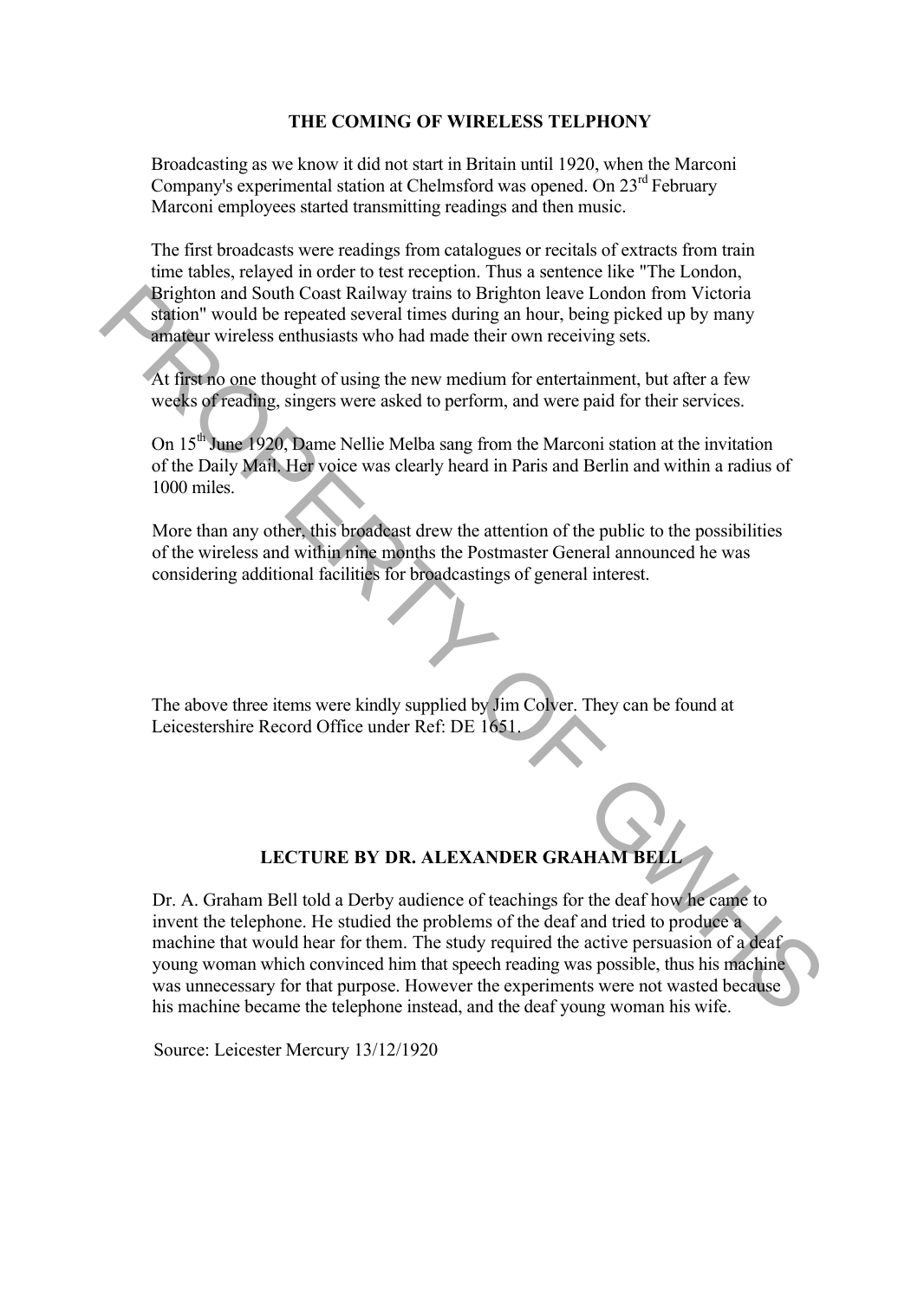#### **THE COMING OF WIRELESS TELPHONY**

Broadcasting as we know it did not start in Britain until 1920, when the Marconi Company's experimental station at Chelmsford was opened. On  $23^{\text{rd}}$  February Marconi employees started transmitting readings and then music.

The first broadcasts were readings from catalogues or recitals of extracts from train time tables, relayed in order to test reception. Thus a sentence like "The London, Brighton and South Coast Railway trains to Brighton leave London from Victoria station" would be repeated several times during an hour, being picked up by many amateur wireless enthusiasts who had made their own receiving sets.

At first no one thought of using the new medium for entertainment, but after a few weeks of reading, singers were asked to perform, and were paid for their services.

On 15<sup>th</sup> June 1920, Dame Nellie Melba sang from the Marconi station at the invitation of the Daily Mail. Her voice was clearly heard in Paris and Berlin and within a radius of 1000 miles.

More than any other, this broadcast drew the attention of the public to the possibilities of the wireless and within nine months the Postmaster General announced he was considering additional facilities for broadcastings of general interest.

The above three items were kindly supplied by Jim Colver. They can be found at Leicestershire Record Office under Ref: DE 1651.

#### **LECTURE BY DR. ALEXANDER GRAHAM BELL**

Dr. A. Graham Bell told a Derby audience of teachings for the deaf how he came to invent the telephone. He studied the problems of the deaf and tried to produce a machine that would hear for them. The study required the active persuasion of a deaf young woman which convinced him that speech reading was possible, thus his machine was unnecessary for that purpose. However the experiments were not wasted because his machine became the telephone instead, and the deaf young woman his wife. Brighton and South Coast Railway trains to Brighton leave London from Victoria<br>
Station" would be repeated several times during an hour, being picked up by many<br> **Arraigners** wireless enthusiasts who had made their own re

Source: Leicester Mercury 13/12/1920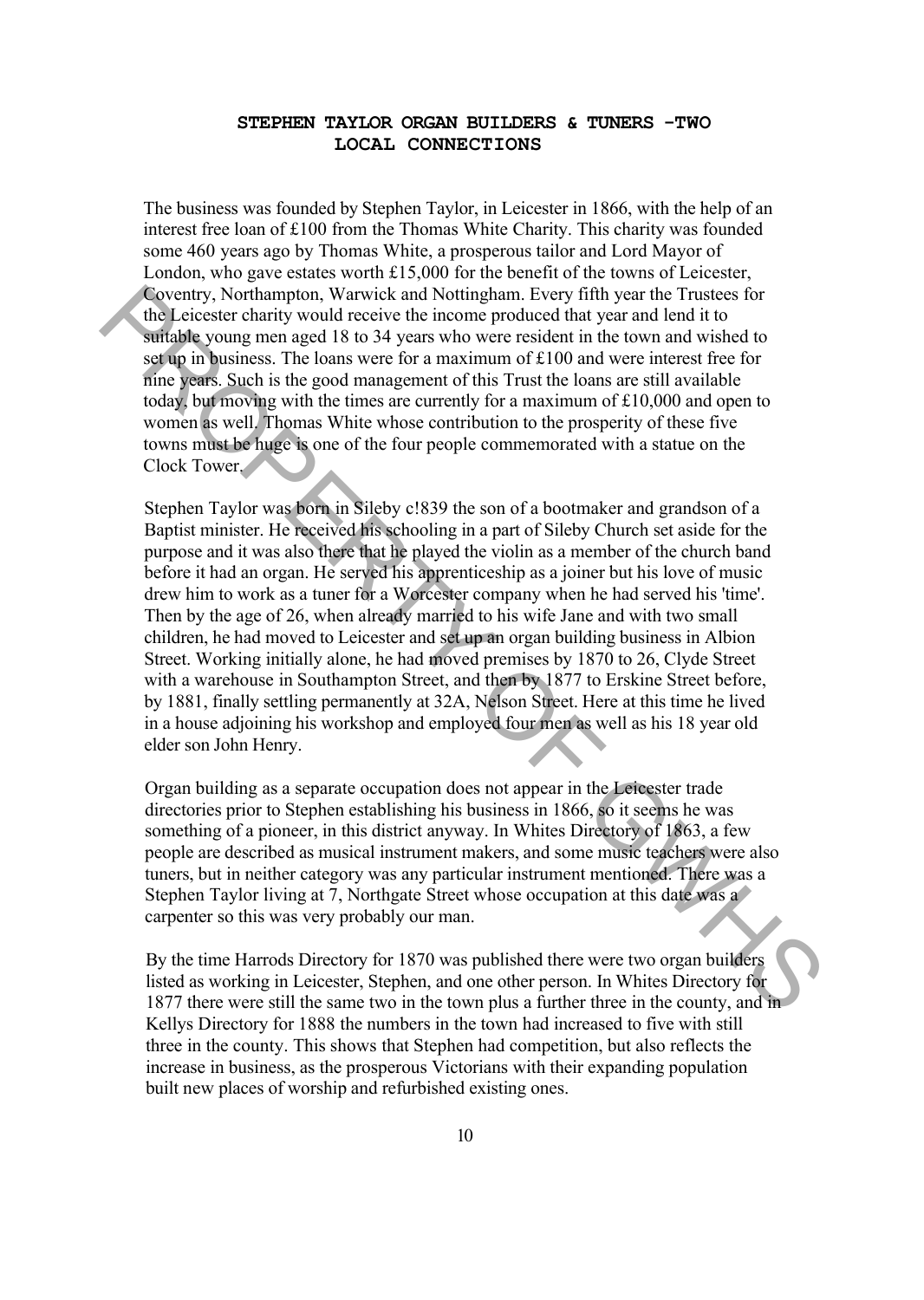#### **STEPHEN TAYLOR ORGAN BUILDERS & TUNERS -TWO LOCAL CONNECTIONS**

The business was founded by Stephen Taylor, in Leicester in 1866, with the help of an interest free loan of  $£100$  from the Thomas White Charity. This charity was founded some 460 years ago by Thomas White, a prosperous tailor and Lord Mayor of London, who gave estates worth  $£15,000$  for the benefit of the towns of Leicester, Coventry, Northampton, Warwick and Nottingham. Every fifth year the Trustees for the Leicester charity would receive the income produced that year and lend it to suitable young men aged 18 to 34 years who were resident in the town and wished to set up in business. The loans were for a maximum of  $£100$  and were interest free for nine years. Such is the good management of this Trust the loans are still available today, but moving with the times are currently for a maximum of  $£10,000$  and open to women as well. Thomas White whose contribution to the prosperity of these five towns must be huge is one of the four people commemorated with a statue on the Clock Tower.

Stephen Taylor was born in Sileby c!839 the son of a bootmaker and grandson of a Baptist minister. He received his schooling in a part of Sileby Church set aside for the purpose and it was also there that he played the violin as a member of the church band before it had an organ. He served his apprenticeship as a joiner but his love of music drew him to work as a tuner for a Worcester company when he had served his 'time'. Then by the age of 26, when already married to his wife Jane and with two small children, he had moved to Leicester and set up an organ building business in Albion Street. Working initially alone, he had moved premises by 1870 to 26, Clyde Street with a warehouse in Southampton Street, and then by 1877 to Erskine Street before, by 1881, finally settling permanently at 32A, Nelson Street. Here at this time he lived in a house adjoining his workshop and employed four men as well as his 18 year old elder son John Henry. Coventry. Northampton, Warwick and Nottingham. Fivery fifth year the Trustees for<br>the Leicester charity would receive the income produced that year and lend it to<br>surfaille young men aged 18 to 34 years who were resident i

Organ building as a separate occupation does not appear in the Leicester trade directories prior to Stephen establishing his business in 1866, so it seems he was something of a pioneer, in this district anyway. In Whites Directory of 1863, a few people are described as musical instrument makers, and some music teachers were also tuners, but in neither category was any particular instrument mentioned. There was a Stephen Taylor living at 7, Northgate Street whose occupation at this date was a carpenter so this was very probably our man.

By the time Harrods Directory for 1870 was published there were two organ builders listed as working in Leicester, Stephen, and one other person. In Whites Directory for 1877 there were still the same two in the town plus a further three in the county, and in Kellys Directory for 1888 the numbers in the town had increased to five with still three in the county. This shows that Stephen had competition, but also reflects the increase in business, as the prosperous Victorians with their expanding population built new places of worship and refurbished existing ones.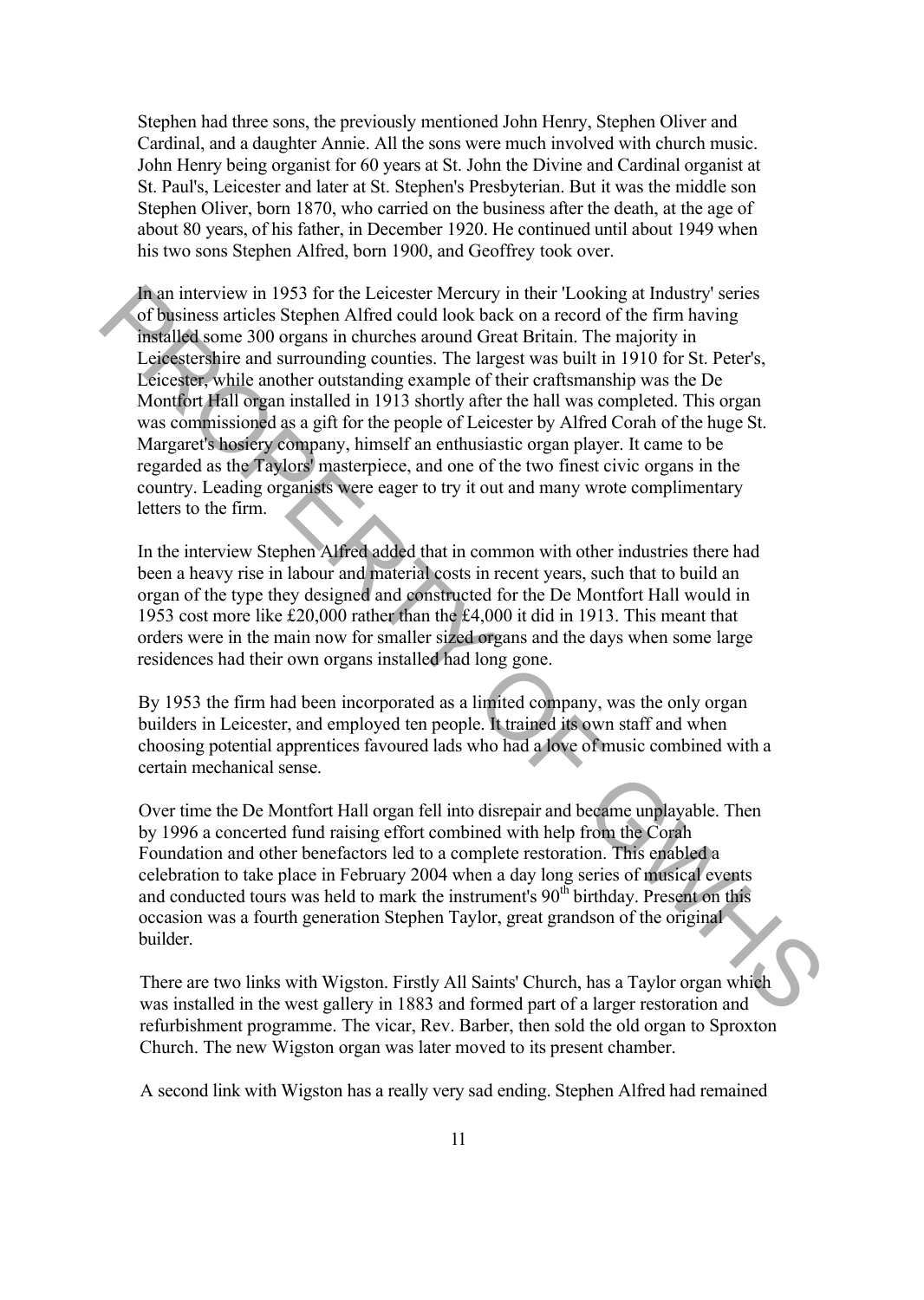Stephen had three sons, the previously mentioned John Henry, Stephen Oliver and Cardinal, and a daughter Annie. All the sons were much involved with church music. John Henry being organist for 60 years at St. John the Divine and Cardinal organist at St. Paul's, Leicester and later at St. Stephen's Presbyterian. But it was the middle son Stephen Oliver, born 1870, who carried on the business after the death, at the age of about 80 years, of his father, in December 1920. He continued until about 1949 when his two sons Stephen Alfred, born 1900, and Geoffrey took over.

In an interview in 1953 for the Leicester Mercury in their 'Looking at Industry' series of business articles Stephen Alfred could look back on a record of the firm having installed some 300 organs in churches around Great Britain. The majority in Leicestershire and surrounding counties. The largest was built in 1910 for St. Peter's, Leicester, while another outstanding example of their craftsmanship was the De Montfort Hall organ installed in 1913 shortly after the hall was completed. This organ was commissioned as a gift for the people of Leicester by Alfred Corah of the huge St. Margaret's hosiery company, himself an enthusiastic organ player. It came to be regarded as the Taylors' masterpiece, and one of the two finest civic organs in the country. Leading organists were eager to try it out and many wrote complimentary letters to the firm. In an interview in 1953 for the Leicester Mercury in their Tooking at Industry series<br>To find the first the stephen Alfred could look back on a record of the firm having<br>metalled some 300 organs in churches around Great B

In the interview Stephen Alfred added that in common with other industries there had been a heavy rise in labour and material costs in recent years, such that to build an organ of the type they designed and constructed for the De Montfort Hall would in 1953 cost more like Ä20,000 rather than the Ä4,000 it did in 1913. This meant that orders were in the main now for smaller sized organs and the days when some large residences had their own organs installed had long gone.

By 1953 the firm had been incorporated as a limited company, was the only organ builders in Leicester, and employed ten people. It trained its own staff and when choosing potential apprentices favoured lads who had a love of music combined with a certain mechanical sense.

Over time the De Montfort Hall organ fell into disrepair and became unplayable. Then by 1996 a concerted fund raising effort combined with help from the Corah Foundation and other benefactors led to a complete restoration. This enabled a celebration to take place in February 2004 when a day long series of musical events and conducted tours was held to mark the instrument's 90th birthday. Present on this occasion was a fourth generation Stephen Taylor, great grandson of the original builder.

There are two links with Wigston. Firstly All Saints' Church, has a Taylor organ which was installed in the west gallery in 1883 and formed part of a larger restoration and refurbishment programme. The vicar, Rev. Barber, then sold the old organ to Sproxton Church. The new Wigston organ was later moved to its present chamber.

A second link with Wigston has a really very sad ending. Stephen Alfred had remained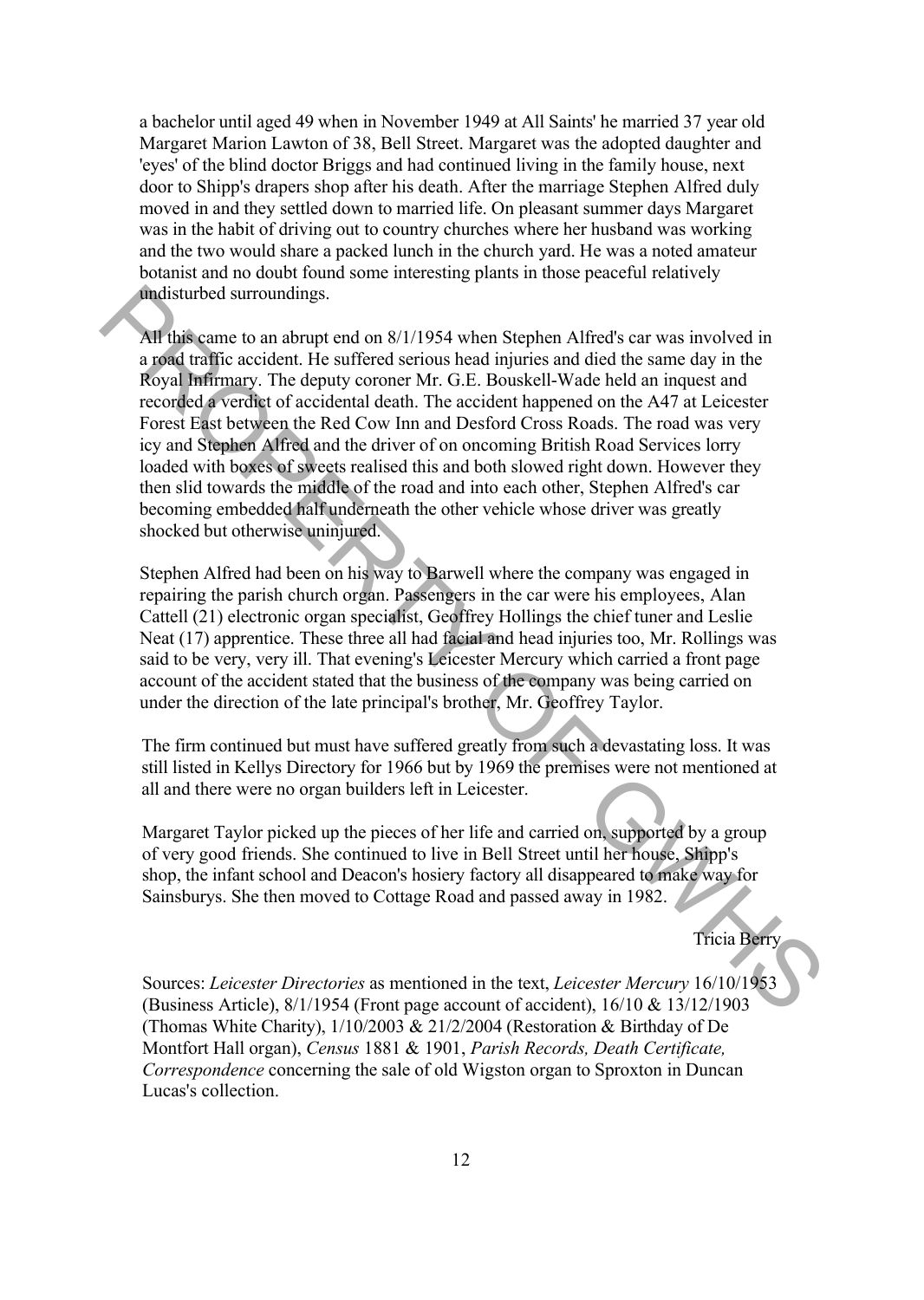a bachelor until aged 49 when in November 1949 at All Saints' he married 37 year old Margaret Marion Lawton of 38, Bell Street. Margaret was the adopted daughter and 'eyes' of the blind doctor Briggs and had continued living in the family house, next door to Shipp's drapers shop after his death. After the marriage Stephen Alfred duly moved in and they settled down to married life. On pleasant summer days Margaret was in the habit of driving out to country churches where her husband was working and the two would share a packed lunch in the church yard. He was a noted amateur botanist and no doubt found some interesting plants in those peaceful relatively undisturbed surroundings.

All this came to an abrupt end on 8/1/1954 when Stephen Alfred's car was involved in a road traffic accident. He suffered serious head injuries and died the same day in the Royal Infirmary. The deputy coroner Mr. G.E. Bouskell-Wade held an inquest and recorded a verdict of accidental death. The accident happened on the A47 at Leicester Forest East between the Red Cow Inn and Desford Cross Roads. The road was very icy and Stephen Alfred and the driver of on oncoming British Road Services lorry loaded with boxes of sweets realised this and both slowed right down. However they then slid towards the middle of the road and into each other, Stephen Alfred's car becoming embedded half underneath the other vehicle whose driver was greatly shocked but otherwise uninjured. **indisturbed surroundings.**<br> **All fultical stronghings**<br> **All fultical stronghing and don 8/1/1954 when Stephen Alfred's car was involved in<br>
<b>a goal Infimiany.** The deputy coronar Mr. G.E. Bouskell-Wade held an inquest a

Stephen Alfred had been on his way to Barwell where the company was engaged in repairing the parish church organ. Passengers in the car were his employees, Alan Cattell (21) electronic organ specialist, Geoffrey Hollings the chief tuner and Leslie Neat (17) apprentice. These three all had facial and head injuries too, Mr. Rollings was said to be very, very ill. That evening's Leicester Mercury which carried a front page account of the accident stated that the business of the company was being carried on under the direction of the late principal's brother, Mr. Geoffrey Taylor.

The firm continued but must have suffered greatly from such a devastating loss. It was still listed in Kellys Directory for 1966 but by 1969 the premises were not mentioned at all and there were no organ builders left in Leicester.

Margaret Taylor picked up the pieces of her life and carried on, supported by a group of very good friends. She continued to live in Bell Street until her house, Shipp's shop, the infant school and Deacon's hosiery factory all disappeared to make way for Sainsburys. She then moved to Cottage Road and passed away in 1982.

Tricia Berry

Sources: *Leicester Directories* as mentioned in the text, *Leicester Mercury* 16/10/1953 (Business Article), 8/1/1954 (Front page account of accident), 16/10 & 13/12/1903 (Thomas White Charity), 1/10/2003 & 21/2/2004 (Restoration & Birthday of De Montfort Hall organ), *Census* 1881 & 1901, *Parish Records, Death Certificate, Correspondence* concerning the sale of old Wigston organ to Sproxton in Duncan Lucas's collection.